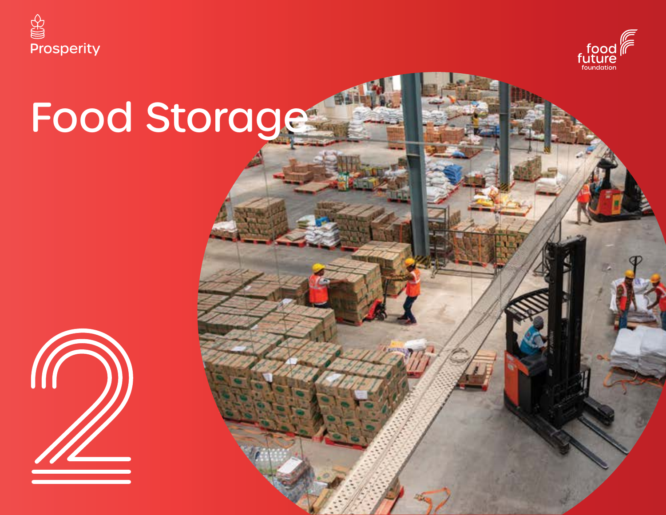



# Food Storage

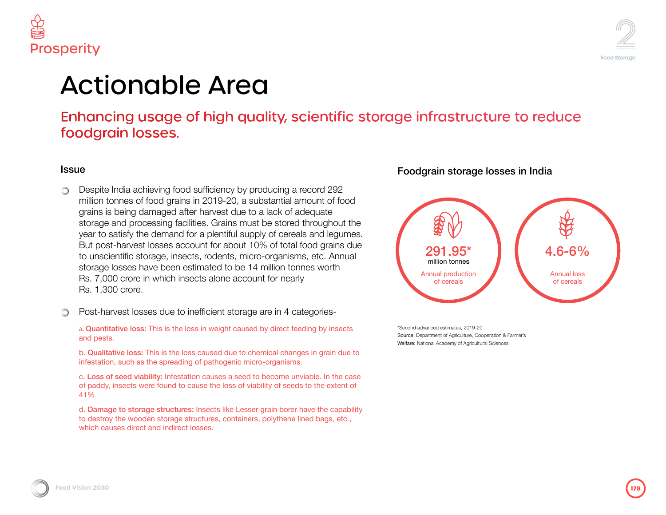

### ity, scientific storage infrastructure to reduce

#### ucing a record 292 tantial amount of food ack of adequate e stored throughout the of cereals and legumes. of total food grains due brganisms, etc. Annual illion tonnes worth for nearly

e in 4 categories-

#### direct feeding by insects

cal changes in grain due to  $prganisms.$ 

ecome unviable. In the case v of seeds to the extent of

ain borer have the capability blythene lined bags, etc.,

### Foodgrain storage losses in India



\*Second advanced estimates, 2019-20 Source: Department of Agriculture, Cooperation & Farmer's Welfare: National Academy of Agricultural Sciences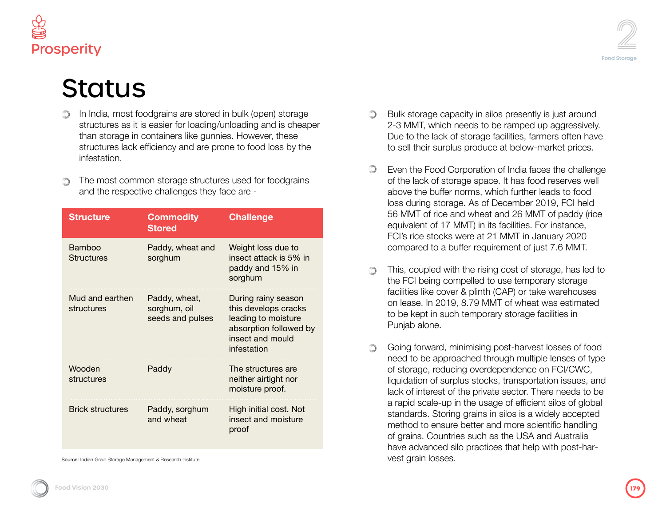

### **Status**

- In India, most foodgrains are stored in bulk (open) storage structures as it is easier for loading/unloading and is cheaper than storage in containers like gunnies. However, these structures lack efficiency and are prone to food loss by the infestation.
- The most common storage structures used for foodgrains and the respective challenges they face are -

| <b>Structure</b>              | <b>Commodity</b><br><b>Stored</b>                 | <b>Challenge</b>                                                                                                                |
|-------------------------------|---------------------------------------------------|---------------------------------------------------------------------------------------------------------------------------------|
| Bamboo<br><b>Structures</b>   | Paddy, wheat and<br>sorghum                       | Weight loss due to<br>insect attack is 5% in<br>paddy and 15% in<br>sorghum                                                     |
| Mud and earthen<br>structures | Paddy, wheat,<br>sorghum, oil<br>seeds and pulses | During rainy season<br>this develops cracks<br>leading to moisture<br>absorption followed by<br>insect and mould<br>infestation |
| Wooden<br>structures          | Paddy                                             | The structures are<br>neither airtight nor<br>moisture proof.                                                                   |
| <b>Brick structures</b>       | Paddy, sorghum<br>and wheat                       | High initial cost. Not<br>insect and moisture<br>proof                                                                          |

Source: Indian Grain Storage Management & Research Institute

- 
- Bulk storage capacity in silos presently is just around
- 2-3 MMT, which needs to be ramped up aggressively. Due to the lack of storage facilities, farmers often have to sell their surplus produce at below-market prices.

 $\circledcirc$ 

- $\circledcirc$ Even the Food Corporation of India faces the challenge of the lack of storage space. It has food reserves well above the buffer norms, which further leads to food loss during storage. As of December 2019, FCI held 56 MMT of rice and wheat and 26 MMT of paddy (rice equivalent of 17 MMT) in its facilities. For instance, FCI's rice stocks were at 21 MMT in January 2020 compared to a buffer requirement of just 7.6 MMT.
- This, coupled with the rising cost of storage, has led to the FCI being compelled to use temporary storage facilities like cover & plinth (CAP) or take warehouses on lease. In 2019, 8.79 MMT of wheat was estimated to be kept in such temporary storage facilities in Punjab alone.
- Going forward, minimising post-harvest losses of food  $\bigcirc$ need to be approached through multiple lenses of type of storage, reducing overdependence on FCI/CWC, liquidation of surplus stocks, transportation issues, and lack of interest of the private sector. There needs to be a rapid scale-up in the usage of efficient silos of global standards. Storing grains in silos is a widely accepted method to ensure better and more scientific handling of grains. Countries such as the USA and Australia have advanced silo practices that help with post-harvest grain losses.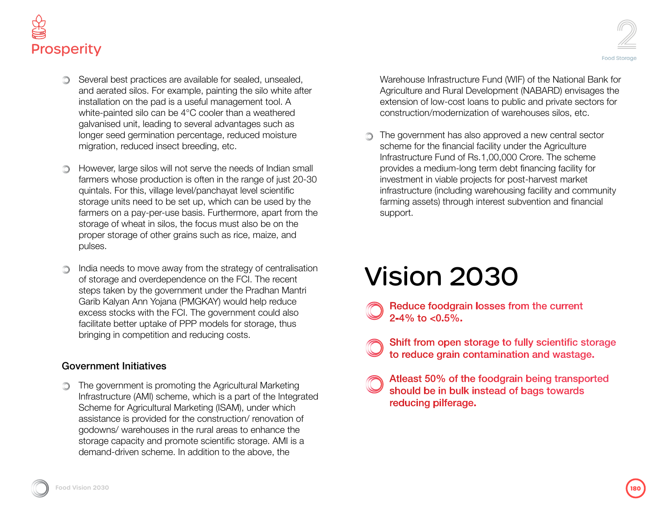

- Several best practices are available for sealed, unsealed, and aerated silos. For example, painting the silo white after installation on the pad is a useful management tool. A white-painted silo can be 4°C cooler than a weathered galvanised unit, leading to several advantages such as longer seed germination percentage, reduced moisture migration, reduced insect breeding, etc.
- However, large silos will not serve the needs of Indian small ∩ farmers whose production is often in the range of just 20-30 quintals. For this, village level/panchayat level scientific storage units need to be set up, which can be used by the farmers on a pay-per-use basis. Furthermore, apart from the storage of wheat in silos, the focus must also be on the proper storage of other grains such as rice, maize, and pulses.
- India needs to move away from the strategy of centralisation of storage and overdependence on the FCI. The recent steps taken by the government under the Pradhan Mantri Garib Kalyan Ann Yojana (PMGKAY) would help reduce excess stocks with the FCI. The government could also facilitate better uptake of PPP models for storage, thus bringing in competition and reducing costs.

#### Government Initiatives

**The government is promoting the Agricultural Marketing** Infrastructure (AMI) scheme, which is a part of the Integrated Scheme for Agricultural Marketing (ISAM), under which assistance is provided for the construction/ renovation of godowns/ warehouses in the rural areas to enhance the storage capacity and promote scientific storage. AMI is a demand-driven scheme. In addition to the above, the

Warehouse Infrastructure Fund (WIF) of the National Bank for Agriculture and Rural Development (NABARD) envisages the extension of low-cost loans to public and private sectors for construction/modernization of warehouses silos, etc.

The government has also approved a new central sector scheme for the financial facility under the Agriculture Infrastructure Fund of Rs.1,00,000 Crore. The scheme provides a medium-long term debt financing facility for investment in viable projects for post-harvest market infrastructure (including warehousing facility and community farming assets) through interest subvention and financial support.

## Vision 2030

- Reduce foodgrain losses from the current 2-4% to  $< 0.5\%$ .
- Shift from open storage to fully scientific storage to reduce grain contamination and wastage.
- Atleast 50% of the foodgrain being transported should be in bulk instead of bags towards reducing pilferage.

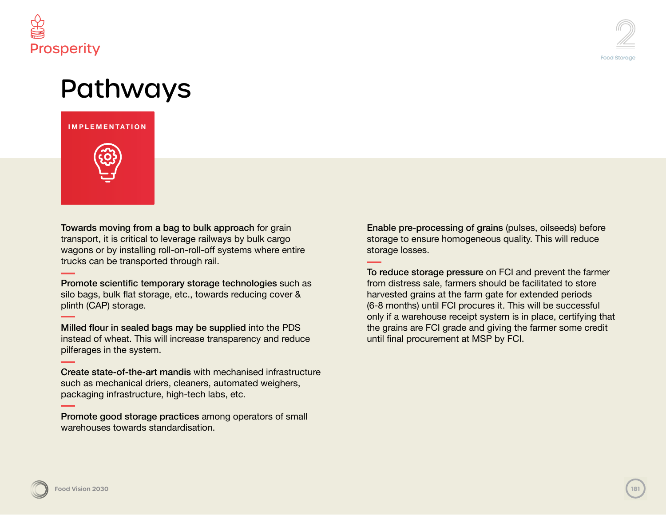



### Pathways

**INFRASTRUCTURE IMPLEMENTATION**



Towards moving from a bag to bulk approach for grain transport, it is critical to leverage railways by bulk cargo wagons or by installing roll-on-roll-off systems where entire trucks can be transported through rail.

Promote scientific temporary storage technologies such as silo bags, bulk flat storage, etc., towards reducing cover & plinth (CAP) storage.

Milled flour in sealed bags may be supplied into the PDS instead of wheat. This will increase transparency and reduce pilferages in the system.

Create state-of-the-art mandis with mechanised infrastructure such as mechanical driers, cleaners, automated weighers, packaging infrastructure, high-tech labs, etc.

Promote good storage practices among operators of small warehouses towards standardisation.

Enable pre-processing of grains (pulses, oilseeds) before storage to ensure homogeneous quality. This will reduce storage losses.

To reduce storage pressure on FCI and prevent the farmer from distress sale, farmers should be facilitated to store harvested grains at the farm gate for extended periods (6-8 months) until FCI procures it. This will be successful only if a warehouse receipt system is in place, certifying that the grains are FCI grade and giving the farmer some credit until final procurement at MSP by FCI.